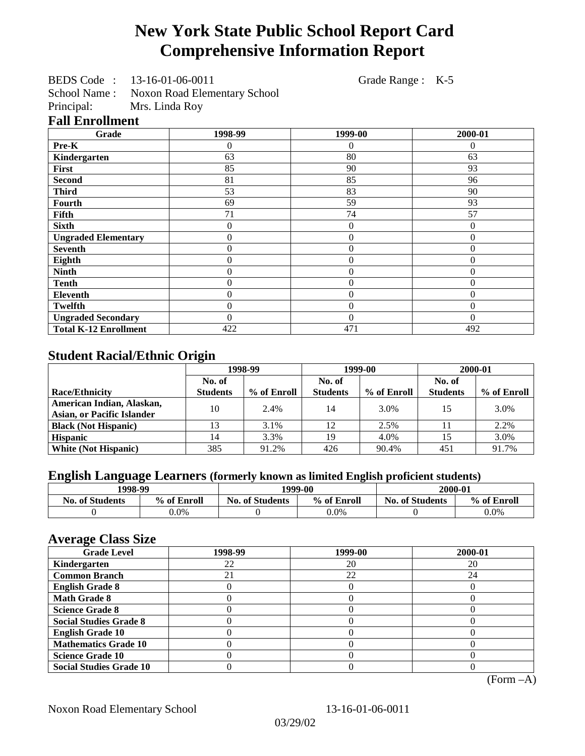# **New York State Public School Report Card Comprehensive Information Report**

BEDS Code : 13-16-01-06-0011 Grade Range : K-5

School Name : Noxon Road Elementary School<br>Principal: Mrs. Linda Roy Mrs. Linda Roy

## **Fall Enrollment**

| Grade                        | 1998-99        | 1999-00          | 2000-01      |
|------------------------------|----------------|------------------|--------------|
| Pre-K                        | 0              | $\theta$         | $\theta$     |
| Kindergarten                 | 63             | 80               | 63           |
| First                        | 85             | 90               | 93           |
| <b>Second</b>                | 81             | 85               | 96           |
| <b>Third</b>                 | 53             | 83               | 90           |
| <b>Fourth</b>                | 69             | 59               | 93           |
| Fifth                        | 71             | 74               | 57           |
| <b>Sixth</b>                 | 0              | $\boldsymbol{0}$ | $\theta$     |
| <b>Ungraded Elementary</b>   | $\overline{0}$ | $\theta$         | $\theta$     |
| <b>Seventh</b>               | 0              | $\theta$         | $\mathbf{0}$ |
| Eighth                       | 0              | $\overline{0}$   | $\theta$     |
| <b>Ninth</b>                 | 0              | $\overline{0}$   | $\mathbf{0}$ |
| <b>Tenth</b>                 | $\overline{0}$ | $\overline{0}$   | $\mathbf{0}$ |
| Eleventh                     | $\overline{0}$ | $\overline{0}$   | $\theta$     |
| <b>Twelfth</b>               | $\overline{0}$ | $\overline{0}$   | $\theta$     |
| <b>Ungraded Secondary</b>    | $\theta$       | $\theta$         | $\Omega$     |
| <b>Total K-12 Enrollment</b> | 422            | 471              | 492          |

## **Student Racial/Ethnic Origin**

|                                   | 1998-99         |             | 1999-00         |             | 2000-01         |             |
|-----------------------------------|-----------------|-------------|-----------------|-------------|-----------------|-------------|
|                                   | No. of          |             | No. of          |             | No. of          |             |
| <b>Race/Ethnicity</b>             | <b>Students</b> | % of Enroll | <b>Students</b> | % of Enroll | <b>Students</b> | % of Enroll |
| American Indian, Alaskan,         | 10              | 2.4%        | 14              | 3.0%        | 15              | 3.0%        |
| <b>Asian, or Pacific Islander</b> |                 |             |                 |             |                 |             |
| <b>Black (Not Hispanic)</b>       |                 | 3.1%        | 12              | 2.5%        |                 | 2.2%        |
| <b>Hispanic</b>                   | 14              | 3.3%        | 19              | 4.0%        |                 | 3.0%        |
| <b>White (Not Hispanic)</b>       | 385             | 91.2%       | 426             | 90.4%       | 451             | 91.7%       |

## **English Language Learners (formerly known as limited English proficient students)**

| 1998-99                |             | 1999-00                |             | 2000-01                |             |
|------------------------|-------------|------------------------|-------------|------------------------|-------------|
| <b>No. of Students</b> | % of Enroll | <b>No. of Students</b> | % of Enroll | <b>No. of Students</b> | % of Enroll |
|                        | $0.0\%$     |                        | $0.0\%$     |                        | $0.0\%$     |

#### **Average Class Size**

| $\overline{\phantom{a}}$<br><b>Grade Level</b> | 1998-99 | 1999-00 | 2000-01 |
|------------------------------------------------|---------|---------|---------|
| Kindergarten                                   | 22      | 20      | 20      |
| <b>Common Branch</b>                           |         | 22      | 24      |
| <b>English Grade 8</b>                         |         |         |         |
| <b>Math Grade 8</b>                            |         |         |         |
| <b>Science Grade 8</b>                         |         |         |         |
| <b>Social Studies Grade 8</b>                  |         |         |         |
| <b>English Grade 10</b>                        |         |         |         |
| <b>Mathematics Grade 10</b>                    |         |         |         |
| <b>Science Grade 10</b>                        |         |         |         |
| <b>Social Studies Grade 10</b>                 |         |         |         |

(Form –A)

Noxon Road Elementary School 13-16-01-06-0011